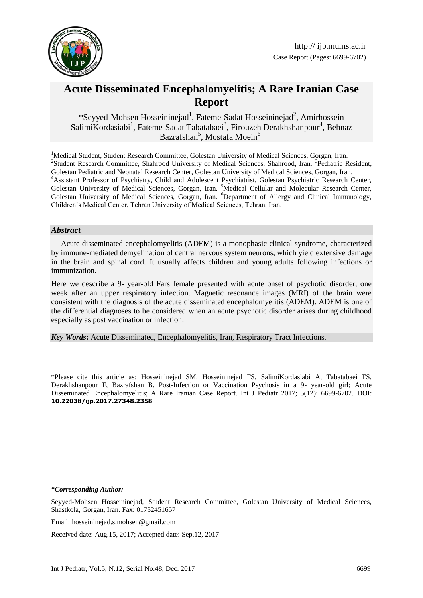

# **Acute Disseminated Encephalomyelitis; A Rare Iranian Case Report**

\*Seyyed-Mohsen Hosseininejad<sup>1</sup>, Fateme-Sadat Hosseininejad<sup>2</sup>, Amirhossein SalimiKordasiabi<sup>1</sup>, Fateme-Sadat Tabatabaei<sup>3</sup>, Firouzeh Derakhshanpour<sup>4</sup>, Behnaz Bazrafshan<sup>5</sup>, Mostafa Moein<sup>6</sup>

<sup>1</sup>Medical Student, Student Research Committee, Golestan University of Medical Sciences, Gorgan, Iran. <sup>2</sup>Student Research Committee, Shahrood University of Medical Sciences, Shahrood, Iran. <sup>3</sup>Pediatric Resident, Golestan Pediatric and Neonatal Research Center, Golestan University of Medical Sciences, Gorgan, Iran. <sup>4</sup>Assistant Professor of Psychiatry, Child and Adolescent Psychiatrist, Golestan Psychiatric Research Center, Golestan University of Medical Sciences, Gorgan, Iran. <sup>5</sup>Medical Cellular and Molecular Research Center, Golestan University of Medical Sciences, Gorgan, Iran. <sup>6</sup>Department of Allergy and Clinical Immunology, Children's Medical Center, Tehran University of Medical Sciences, Tehran, Iran.

#### *Abstract*

 Acute disseminated encephalomyelitis (ADEM) is a monophasic clinical syndrome, characterized by immune-mediated demyelination of central nervous system neurons, which yield extensive damage in the brain and spinal cord. It usually affects children and young adults following infections or immunization.

Here we describe a 9- year-old Fars female presented with acute onset of psychotic disorder, one week after an upper respiratory infection. Magnetic resonance images (MRI) of the brain were consistent with the diagnosis of the acute disseminated encephalomyelitis (ADEM). ADEM is one of the differential diagnoses to be considered when an acute psychotic disorder arises during childhood especially as post vaccination or infection.

*Key Words***:** Acute Disseminated, Encephalomyelitis, Iran, Respiratory Tract Infections.

\*Please cite this article as: Hosseininejad SM, Hosseininejad FS, SalimiKordasiabi A, Tabatabaei FS, Derakhshanpour F, Bazrafshan B. Post-Infection or Vaccination Psychosis in a 9- year-old girl; Acute Disseminated Encephalomyelitis; A Rare Iranian Case Report. Int J Pediatr 2017; 5(12): 6699-6702. DOI: **10.22038/ijp.2017.27348.2358**

*\*Corresponding Author:*

1

Received date: Aug.15, 2017; Accepted date: Sep.12, 2017

Seyyed-Mohsen Hosseininejad, Student Research Committee, Golestan University of Medical Sciences, Shastkola, Gorgan, Iran. Fax: 01732451657

Email: hosseininejad.s.mohsen@gmail.com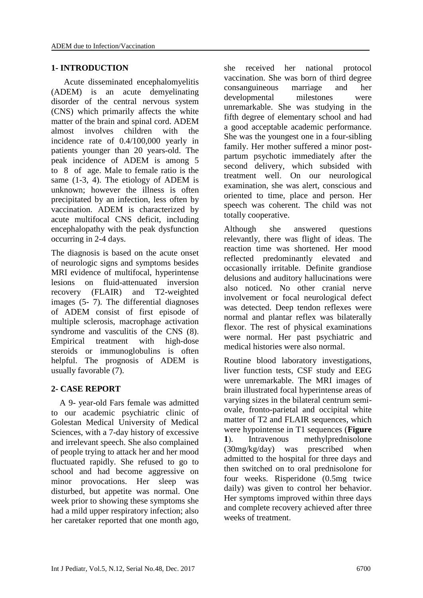#### **1- INTRODUCTION**

 Acute disseminated encephalomyelitis (ADEM) is an acute demyelinating disorder of the central nervous system (CNS) which primarily affects the white matter of the brain and spinal cord. ADEM almost involves children with the incidence rate of 0.4/100,000 yearly in patients younger than 20 years-old. The peak incidence of ADEM is among 5 to 8 of age. Male to female ratio is the same (1-3, 4). The etiology of ADEM is unknown; however the illness is often precipitated by an infection, less often by vaccination. ADEM is characterized by acute multifocal CNS deficit, including encephalopathy with the peak dysfunction occurring in 2-4 days.

The diagnosis is based on the acute onset of neurologic signs and symptoms besides MRI evidence of multifocal, hyperintense lesions on fluid-attenuated inversion recovery (FLAIR) and T2-weighted images (5- 7). The differential diagnoses of ADEM consist of first episode of multiple sclerosis, macrophage activation syndrome and vasculitis of the CNS (8). Empirical treatment with high-dose steroids or immunoglobulins is often helpful. The prognosis of ADEM is usually favorable (7).

# **2- CASE REPORT**

 A 9- year-old Fars female was admitted to our academic psychiatric clinic of Golestan Medical University of Medical Sciences, with a 7-day history of excessive and irrelevant speech. She also complained of people trying to attack her and her mood fluctuated rapidly. She refused to go to school and had become aggressive on minor provocations. Her sleep was disturbed, but appetite was normal. One week prior to showing these symptoms she had a mild upper respiratory infection; also her caretaker reported that one month ago,

she received her national protocol vaccination. She was born of third degree consanguineous marriage and her developmental milestones were unremarkable. She was studying in the fifth degree of elementary school and had a good acceptable academic performance. She was the youngest one in a four-sibling family. Her mother suffered a minor postpartum psychotic immediately after the second delivery, which subsided with treatment well. On our neurological examination, she was alert, conscious and oriented to time, place and person. Her speech was coherent. The child was not totally cooperative.

Although she answered questions relevantly, there was flight of ideas. The reaction time was shortened. Her mood reflected predominantly elevated and occasionally irritable. Definite grandiose delusions and auditory hallucinations were also noticed. No other cranial nerve involvement or focal neurological defect was detected. Deep tendon reflexes were normal and plantar reflex was bilaterally flexor. The rest of physical examinations were normal. Her past psychiatric and medical histories were also normal.

Routine blood laboratory investigations, liver function tests, CSF study and EEG were unremarkable. The MRI images of brain illustrated focal hyperintense areas of varying sizes in the bilateral centrum semiovale, fronto-parietal and occipital white matter of T2 and FLAIR sequences, which were hypointense in T1 sequences (**Figure** 1). Intravenous methylprednisolone (30mg/kg/day) was prescribed when admitted to the hospital for three days and then switched on to oral prednisolone for four weeks. Risperidone (0.5mg twice daily) was given to control her behavior. Her symptoms improved within three days and complete recovery achieved after three weeks of treatment.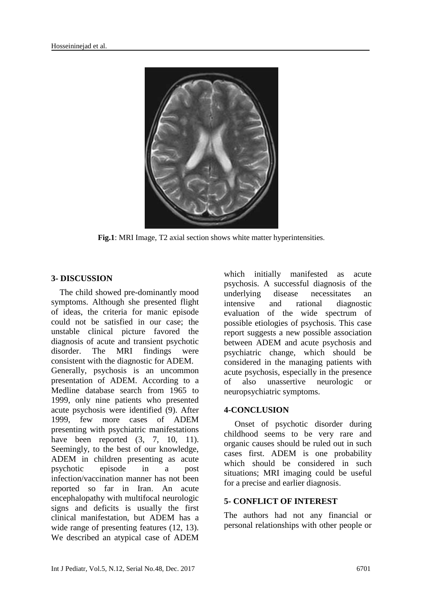

**Fig.1**: MRI Image, T2 axial section shows white matter hyperintensities.

# **3- DISCUSSION**

 The child showed pre-dominantly mood symptoms. Although she presented flight of ideas, the criteria for manic episode could not be satisfied in our case; the unstable clinical picture favored the diagnosis of acute and transient psychotic disorder. The MRI findings were consistent with the diagnostic for ADEM. Generally, psychosis is an uncommon presentation of ADEM. According to a Medline database search from 1965 to 1999, only nine patients who presented acute psychosis were identified (9). After 1999, few more cases of ADEM presenting with psychiatric manifestations have been reported  $(3, 7, 10, 11)$ . Seemingly, to the best of our knowledge, ADEM in children presenting as acute psychotic episode in a post infection/vaccination manner has not been reported so far in Iran. An acute encephalopathy with multifocal neurologic signs and deficits is usually the first clinical manifestation, but ADEM has a wide range of presenting features (12, 13). We described an atypical case of ADEM

which initially manifested as acute psychosis. A successful diagnosis of the underlying disease necessitates an intensive and rational diagnostic evaluation of the wide spectrum of possible etiologies of psychosis. This case report suggests a new possible association between ADEM and acute psychosis and psychiatric change, which should be considered in the managing patients with acute psychosis, especially in the presence of also unassertive neurologic or neuropsychiatric symptoms.

# **4-CONCLUSION**

 Onset of psychotic disorder during childhood seems to be very rare and organic causes should be ruled out in such cases first. ADEM is one probability which should be considered in such situations; MRI imaging could be useful for a precise and earlier diagnosis.

# **5- CONFLICT OF INTEREST**

The authors had not any financial or personal relationships with other people or